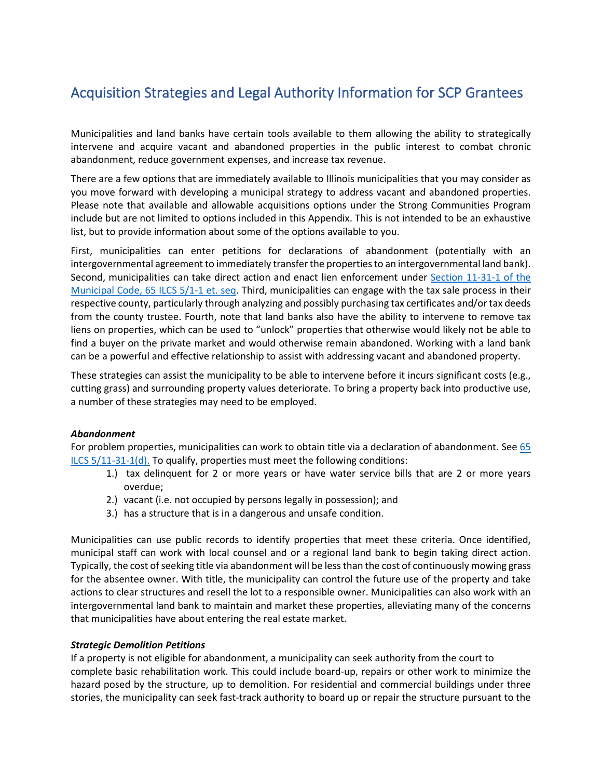# Acquisition Strategies and Legal Authority Information for SCP Grantees

Municipalities and land banks have certain tools available to them allowing the ability to strategically intervene and acquire vacant and abandoned properties in the public interest to combat chronic abandonment, reduce government expenses, and increase tax revenue.

There are a few options that are immediately available to Illinois municipalities that you may consider as you move forward with developing a municipal strategy to address vacant and abandoned properties. Please note that available and allowable acquisitions options under the Strong Communities Program include but are not limited to options included in this Appendix. This is not intended to be an exhaustive list, but to provide information about some of the options available to you.

First, municipalities can enter petitions for declarations of abandonment (potentially with an intergovernmental agreement to immediately transfer the properties to an intergovernmental land bank). Second, municipalities can take direct action and enact lien enforcement under [Section 11-31-1 of the](https://www.ilga.gov/legislation/ilcs/fulltext.asp?DocName=006500050K11-31-1)  [Municipal Code, 65 ILCS 5/1-1 et. seq.](https://www.ilga.gov/legislation/ilcs/fulltext.asp?DocName=006500050K11-31-1) Third, municipalities can engage with the tax sale process in their respective county, particularly through analyzing and possibly purchasing tax certificates and/or tax deeds from the county trustee. Fourth, note that land banks also have the ability to intervene to remove tax liens on properties, which can be used to "unlock" properties that otherwise would likely not be able to find a buyer on the private market and would otherwise remain abandoned. Working with a land bank can be a powerful and effective relationship to assist with addressing vacant and abandoned property.

These strategies can assist the municipality to be able to intervene before it incurs significant costs (e.g., cutting grass) and surrounding property values deteriorate. To bring a property back into productive use, a number of these strategies may need to be employed.

# *Abandonment*

For problem properties, municipalities can work to obtain title via a declaration of abandonment. See 65 [ILCS 5/11-31-1\(d\).](https://www.ilga.gov/legislation/ilcs/fulltext.asp?DocName=006500050K11-31-1) To qualify, properties must meet the following conditions:

- 1.) tax delinquent for 2 or more years or have water service bills that are 2 or more years overdue;
- 2.) vacant (i.e. not occupied by persons legally in possession); and
- 3.) has a structure that is in a dangerous and unsafe condition.

Municipalities can use public records to identify properties that meet these criteria. Once identified, municipal staff can work with local counsel and or a regional land bank to begin taking direct action. Typically, the cost of seeking title via abandonment will be less than the cost of continuously mowing grass for the absentee owner. With title, the municipality can control the future use of the property and take actions to clear structures and resell the lot to a responsible owner. Municipalities can also work with an intergovernmental land bank to maintain and market these properties, alleviating many of the concerns that municipalities have about entering the real estate market.

### *Strategic Demolition Petitions*

If a property is not eligible for abandonment, a municipality can seek authority from the court to complete basic rehabilitation work. This could include board-up, repairs or other work to minimize the hazard posed by the structure, up to demolition. For residential and commercial buildings under three stories, the municipality can seek fast-track authority to board up or repair the structure pursuant to the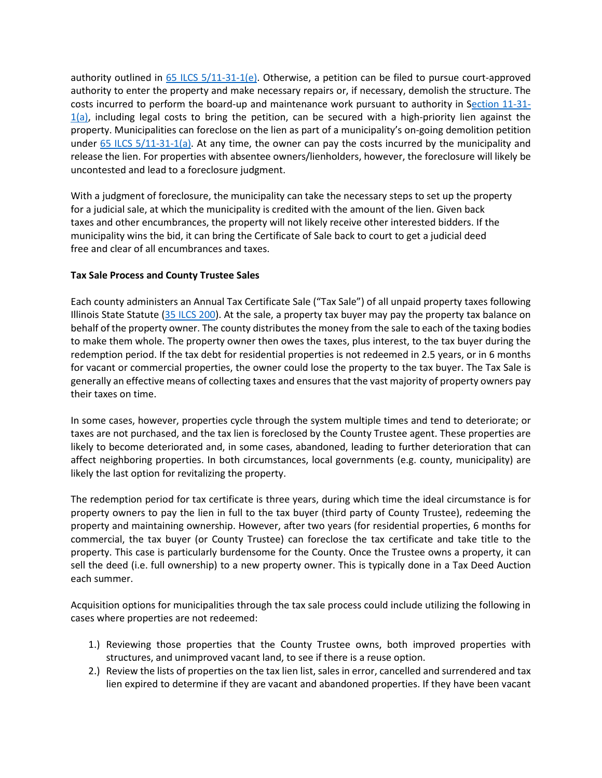authority outlined in  $65$  ILCS  $5/11-31-1$ (e). Otherwise, a petition can be filed to pursue court-approved authority to enter the property and make necessary repairs or, if necessary, demolish the structure. The costs incurred to perform the board-up and maintenance work pursuant to authority in [Section](https://www.ilga.gov/legislation/ilcs/fulltext.asp?DocName=006500050K11-31-1) 11-31-  $1(a)$ , including legal costs to bring the petition, can be secured with a high-priority lien against the property. Municipalities can foreclose on the lien as part of a municipality's on-going demolition petition under  $65$  ILCS  $5/11-31-1$ (a). At any time, the owner can pay the costs incurred by the municipality and release the lien. For properties with absentee owners/lienholders, however, the foreclosure will likely be uncontested and lead to a foreclosure judgment.

With a judgment of foreclosure, the municipality can take the necessary steps to set up the property for a judicial sale, at which the municipality is credited with the amount of the lien. Given back taxes and other encumbrances, the property will not likely receive other interested bidders. If the municipality wins the bid, it can bring the Certificate of Sale back to court to get a judicial deed free and clear of all encumbrances and taxes.

# **Tax Sale Process and County Trustee Sales**

Each county administers an Annual Tax Certificate Sale ("Tax Sale") of all unpaid property taxes following Illinois State Statute [\(35 ILCS 200\)](https://www.ilga.gov/legislation/ilcs/ilcs3.asp?ActID=596&ChapterID=8). At the sale, a property tax buyer may pay the property tax balance on behalf of the property owner. The county distributes the money from the sale to each of the taxing bodies to make them whole. The property owner then owes the taxes, plus interest, to the tax buyer during the redemption period. If the tax debt for residential properties is not redeemed in 2.5 years, or in 6 months for vacant or commercial properties, the owner could lose the property to the tax buyer. The Tax Sale is generally an effective means of collecting taxes and ensures that the vast majority of property owners pay their taxes on time.

In some cases, however, properties cycle through the system multiple times and tend to deteriorate; or taxes are not purchased, and the tax lien is foreclosed by the County Trustee agent. These properties are likely to become deteriorated and, in some cases, abandoned, leading to further deterioration that can affect neighboring properties. In both circumstances, local governments (e.g. county, municipality) are likely the last option for revitalizing the property.

The redemption period for tax certificate is three years, during which time the ideal circumstance is for property owners to pay the lien in full to the tax buyer (third party of County Trustee), redeeming the property and maintaining ownership. However, after two years (for residential properties, 6 months for commercial, the tax buyer (or County Trustee) can foreclose the tax certificate and take title to the property. This case is particularly burdensome for the County. Once the Trustee owns a property, it can sell the deed (i.e. full ownership) to a new property owner. This is typically done in a Tax Deed Auction each summer.

Acquisition options for municipalities through the tax sale process could include utilizing the following in cases where properties are not redeemed:

- 1.) Reviewing those properties that the County Trustee owns, both improved properties with structures, and unimproved vacant land, to see if there is a reuse option.
- 2.) Review the lists of properties on the tax lien list, sales in error, cancelled and surrendered and tax lien expired to determine if they are vacant and abandoned properties. If they have been vacant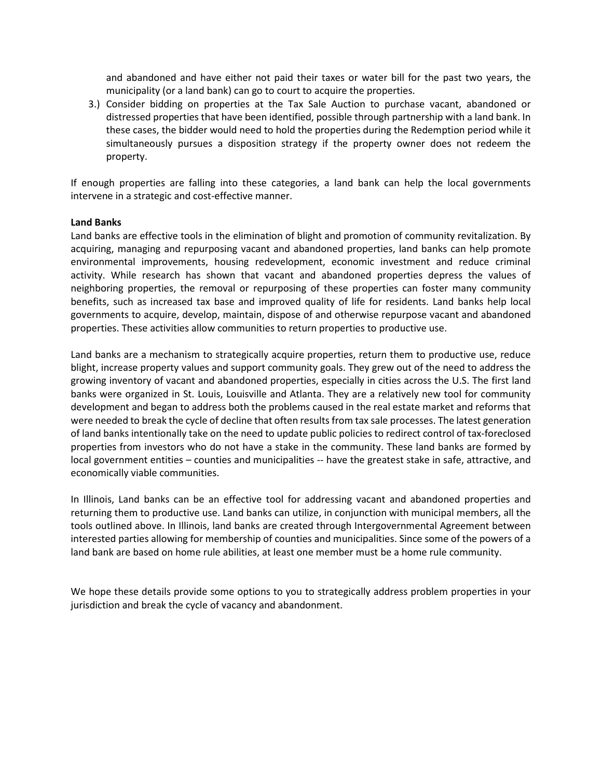and abandoned and have either not paid their taxes or water bill for the past two years, the municipality (or a land bank) can go to court to acquire the properties.

3.) Consider bidding on properties at the Tax Sale Auction to purchase vacant, abandoned or distressed properties that have been identified, possible through partnership with a land bank. In these cases, the bidder would need to hold the properties during the Redemption period while it simultaneously pursues a disposition strategy if the property owner does not redeem the property.

If enough properties are falling into these categories, a land bank can help the local governments intervene in a strategic and cost-effective manner.

### **Land Banks**

Land banks are effective tools in the elimination of blight and promotion of community revitalization. By acquiring, managing and repurposing vacant and abandoned properties, land banks can help promote environmental improvements, housing redevelopment, economic investment and reduce criminal activity. While research has shown that vacant and abandoned properties depress the values of neighboring properties, the removal or repurposing of these properties can foster many community benefits, such as increased tax base and improved quality of life for residents. Land banks help local governments to acquire, develop, maintain, dispose of and otherwise repurpose vacant and abandoned properties. These activities allow communities to return properties to productive use.

Land banks are a mechanism to strategically acquire properties, return them to productive use, reduce blight, increase property values and support community goals. They grew out of the need to address the growing inventory of vacant and abandoned properties, especially in cities across the U.S. The first land banks were organized in St. Louis, Louisville and Atlanta. They are a relatively new tool for community development and began to address both the problems caused in the real estate market and reforms that were needed to break the cycle of decline that often results from tax sale processes. The latest generation of land banks intentionally take on the need to update public policies to redirect control of tax-foreclosed properties from investors who do not have a stake in the community. These land banks are formed by local government entities – counties and municipalities -- have the greatest stake in safe, attractive, and economically viable communities.

In Illinois, Land banks can be an effective tool for addressing vacant and abandoned properties and returning them to productive use. Land banks can utilize, in conjunction with municipal members, all the tools outlined above. In Illinois, land banks are created through Intergovernmental Agreement between interested parties allowing for membership of counties and municipalities. Since some of the powers of a land bank are based on home rule abilities, at least one member must be a home rule community.

We hope these details provide some options to you to strategically address problem properties in your jurisdiction and break the cycle of vacancy and abandonment.